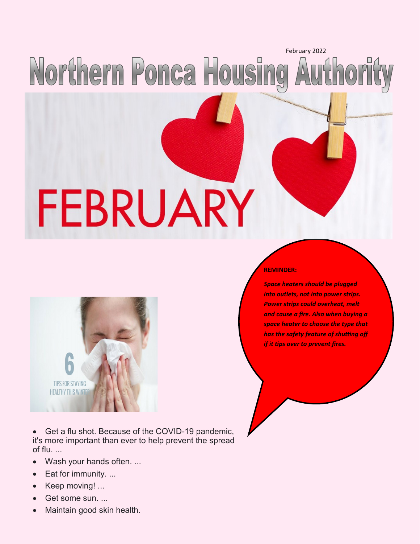## Northern Ponca Housing Authority

# FEBRUARY



Get a flu shot. Because of the COVID-19 pandemic, it's more important than ever to help prevent the spread of flu. ...

- Wash your hands often. ...
- Eat for immunity. ...
- Keep moving! ...
- Get some sun. ...
- Maintain good skin health.

#### **REMINDER:**

*Space heaters should be plugged into outlets, not into power strips. Power strips could overheat, melt and cause a fire. Also when buying a space heater to choose the type that has the safety feature of shutting off if it tips over to prevent fires.*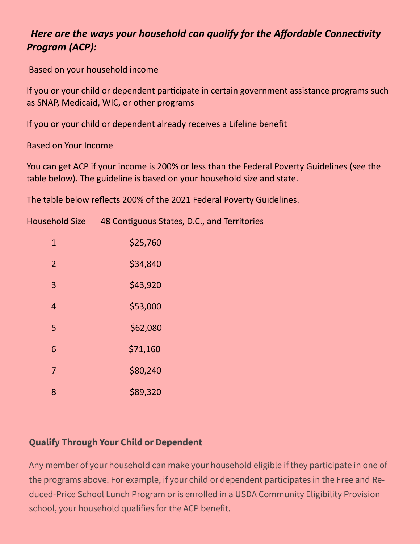#### *Here are the ways your household can qualify for the Affordable Connectivity Program (ACP):*

Based on your household income

If you or your child or dependent participate in certain government assistance programs such as SNAP, Medicaid, WIC, or other programs

If you or your child or dependent already receives a Lifeline benefit

Based on Your Income

You can get ACP if your income is 200% or less than the Federal Poverty Guidelines (see the table below). The guideline is based on your household size and state.

The table below reflects 200% of the 2021 Federal Poverty Guidelines.

| <b>Household Size</b> | 48 Contiguous States, D.C., and Territories |
|-----------------------|---------------------------------------------|
| $\mathbf{1}$          | \$25,760                                    |
| $\overline{2}$        | \$34,840                                    |
| 3                     | \$43,920                                    |
| $\overline{4}$        | \$53,000                                    |
| 5                     | \$62,080                                    |
| 6                     | \$71,160                                    |
| $\overline{7}$        | \$80,240                                    |
| 8                     | \$89,320                                    |

#### **Qualify Through Your Child or Dependent**

Any member of your household can make your household eligible if they participate in one of the programs above. For example, if your child or dependent participates in the Free and Reduced-Price School Lunch Program or is enrolled in a USDA Community Eligibility Provision school, your household qualifies for the ACP benefit.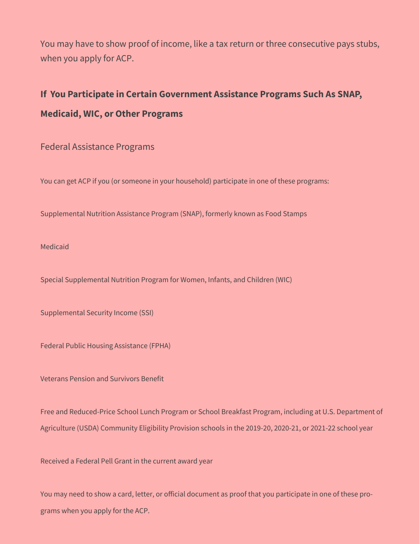You may have to show proof of income, like a tax return or three consecutive pays stubs, when you apply for ACP.

#### **If You Participate in Certain Government Assistance Programs Such As SNAP, Medicaid, WIC, or Other Programs**

Federal Assistance Programs

You can get ACP if you (or someone in your household) participate in one of these programs:

Supplemental Nutrition Assistance Program (SNAP), formerly known as Food Stamps

Medicaid

Special Supplemental Nutrition Program for Women, Infants, and Children (WIC)

Supplemental Security Income (SSI)

Federal Public Housing Assistance (FPHA)

Veterans Pension and Survivors Benefit

Free and Reduced-Price School Lunch Program or School Breakfast Program, including at U.S. Department of Agriculture (USDA) Community Eligibility Provision schools in the 2019-20, 2020-21, or 2021-22 school year

Received a Federal Pell Grant in the current award year

You may need to show a card, letter, or official document as proof that you participate in one of these programs when you apply for the ACP.